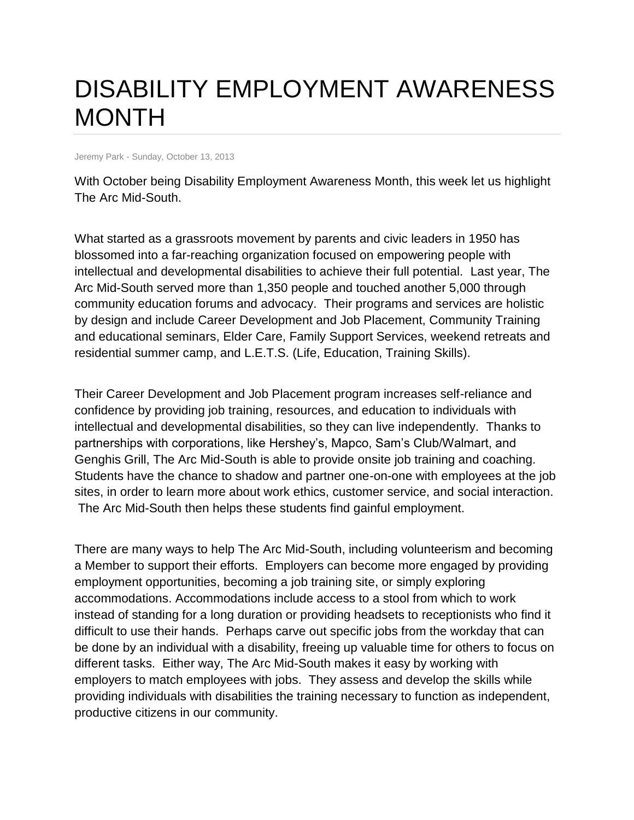## DISABILITY EMPLOYMENT AWARENESS MONTH

Jeremy Park - Sunday, October 13, 2013

With October being Disability Employment Awareness Month, this week let us highlight The Arc Mid-South.

What started as a grassroots movement by parents and civic leaders in 1950 has blossomed into a far-reaching organization focused on empowering people with intellectual and developmental disabilities to achieve their full potential. Last year, The Arc Mid-South served more than 1,350 people and touched another 5,000 through community education forums and advocacy. Their programs and services are holistic by design and include Career Development and Job Placement, Community Training and educational seminars, Elder Care, Family Support Services, weekend retreats and residential summer camp, and L.E.T.S. (Life, Education, Training Skills).

Their Career Development and Job Placement program increases self-reliance and confidence by providing job training, resources, and education to individuals with intellectual and developmental disabilities, so they can live independently. Thanks to partnerships with corporations, like Hershey's, Mapco, Sam's Club/Walmart, and Genghis Grill, The Arc Mid-South is able to provide onsite job training and coaching. Students have the chance to shadow and partner one-on-one with employees at the job sites, in order to learn more about work ethics, customer service, and social interaction. The Arc Mid-South then helps these students find gainful employment.

There are many ways to help The Arc Mid-South, including volunteerism and becoming a Member to support their efforts. Employers can become more engaged by providing employment opportunities, becoming a job training site, or simply exploring accommodations. Accommodations include access to a stool from which to work instead of standing for a long duration or providing headsets to receptionists who find it difficult to use their hands. Perhaps carve out specific jobs from the workday that can be done by an individual with a disability, freeing up valuable time for others to focus on different tasks. Either way, The Arc Mid-South makes it easy by working with employers to match employees with jobs. They assess and develop the skills while providing individuals with disabilities the training necessary to function as independent, productive citizens in our community.